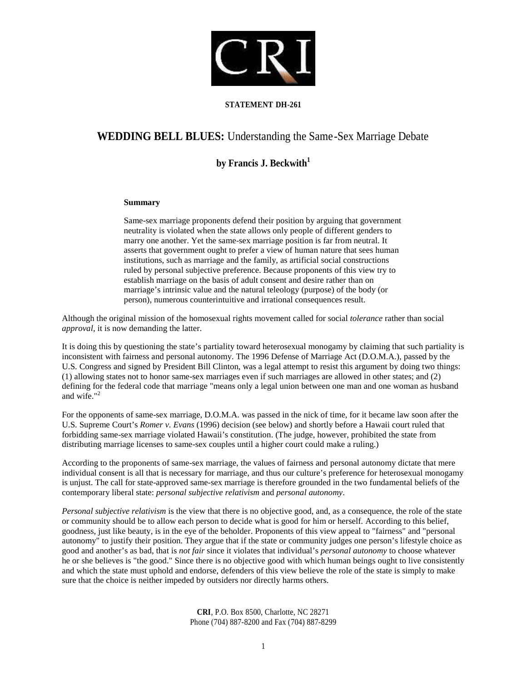

## **STATEMENT DH-261**

# **WEDDING BELL BLUES:** Understanding the Same-Sex Marriage Debate

## **by Francis J. Beckwith<sup>1</sup>**

#### **Summary**

Same-sex marriage proponents defend their position by arguing that government neutrality is violated when the state allows only people of different genders to marry one another. Yet the same-sex marriage position is far from neutral. It asserts that government ought to prefer a view of human nature that sees human institutions, such as marriage and the family, as artificial social constructions ruled by personal subjective preference. Because proponents of this view try to establish marriage on the basis of adult consent and desire rather than on marriage's intrinsic value and the natural teleology (purpose) of the body (or person), numerous counterintuitive and irrational consequences result.

Although the original mission of the homosexual rights movement called for social *tolerance* rather than social *approval*, it is now demanding the latter.

It is doing this by questioning the state's partiality toward heterosexual monogamy by claiming that such partiality is inconsistent with fairness and personal autonomy. The 1996 Defense of Marriage Act (D.O.M.A.), passed by the U.S. Congress and signed by President Bill Clinton, was a legal attempt to resist this argument by doing two things: (1) allowing states not to honor same-sex marriages even if such marriages are allowed in other states; and (2) defining for the federal code that marriage "means only a legal union between one man and one woman as husband and wife."<sup>2</sup>

For the opponents of same-sex marriage, D.O.M.A. was passed in the nick of time, for it became law soon after the U.S. Supreme Court's *Romer v. Evans* (1996) decision (see below) and shortly before a Hawaii court ruled that forbidding same-sex marriage violated Hawaii's constitution. (The judge, however, prohibited the state from distributing marriage licenses to same-sex couples until a higher court could make a ruling.)

According to the proponents of same-sex marriage, the values of fairness and personal autonomy dictate that mere individual consent is all that is necessary for marriage, and thus our culture's preference for heterosexual monogamy is unjust. The call for state-approved same-sex marriage is therefore grounded in the two fundamental beliefs of the contemporary liberal state: *personal subjective relativism* and *personal autonomy*.

*Personal subjective relativism* is the view that there is no objective good, and, as a consequence, the role of the state or community should be to allow each person to decide what is good for him or herself. According to this belief, goodness, just like beauty, is in the eye of the beholder. Proponents of this view appeal to "fairness" and "personal autonomy" to justify their position. They argue that if the state or community judges one person's lifestyle choice as good and another's as bad, that is *not fair* since it violates that individual's *personal autonomy* to choose whatever he or she believes is "the good." Since there is no objective good with which human beings ought to live consistently and which the state must uphold and endorse, defenders of this view believe the role of the state is simply to make sure that the choice is neither impeded by outsiders nor directly harms others.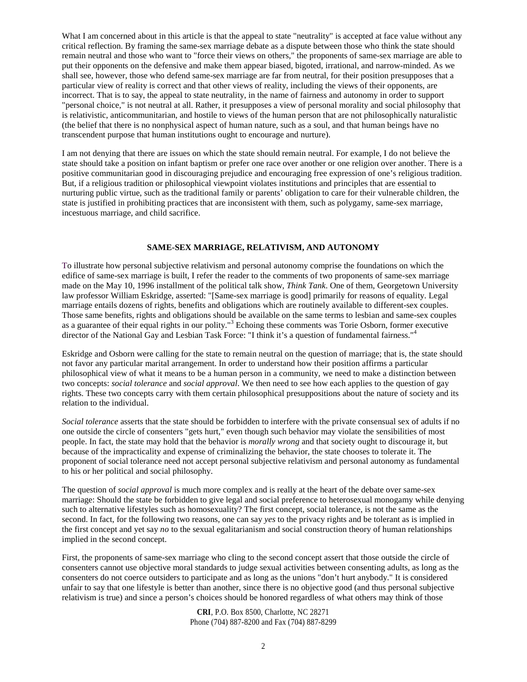What I am concerned about in this article is that the appeal to state "neutrality" is accepted at face value without any critical reflection. By framing the same-sex marriage debate as a dispute between those who think the state should remain neutral and those who want to "force their views on others," the proponents of same-sex marriage are able to put their opponents on the defensive and make them appear biased, bigoted, irrational, and narrow-minded. As we shall see, however, those who defend same-sex marriage are far from neutral, for their position presupposes that a particular view of reality is correct and that other views of reality, including the views of their opponents, are incorrect. That is to say, the appeal to state neutrality, in the name of fairness and autonomy in order to support "personal choice," is not neutral at all. Rather, it presupposes a view of personal morality and social philosophy that is relativistic, anticommunitarian, and hostile to views of the human person that are not philosophically naturalistic (the belief that there is no nonphysical aspect of human nature, such as a soul, and that human beings have no transcendent purpose that human institutions ought to encourage and nurture).

I am not denying that there are issues on which the state should remain neutral. For example, I do not believe the state should take a position on infant baptism or prefer one race over another or one religion over another. There is a positive communitarian good in discouraging prejudice and encouraging free expression of one's religious tradition. But, if a religious tradition or philosophical viewpoint violates institutions and principles that are essential to nurturing public virtue, such as the traditional family or parents' obligation to care for their vulnerable children, the state is justified in prohibiting practices that are inconsistent with them, such as polygamy, same-sex marriage, incestuous marriage, and child sacrifice.

#### **SAME-SEX MARRIAGE, RELATIVISM, AND AUTONOMY**

To illustrate how personal subjective relativism and personal autonomy comprise the foundations on which the edifice of same-sex marriage is built, I refer the reader to the comments of two proponents of same-sex marriage made on the May 10, 1996 installment of the political talk show, *Think Tank*. One of them, Georgetown University law professor William Eskridge, asserted: "[Same-sex marriage is good] primarily for reasons of equality. Legal marriage entails dozens of rights, benefits and obligations which are routinely available to different-sex couples. Those same benefits, rights and obligations should be available on the same terms to lesbian and same-sex couples as a guarantee of their equal rights in our polity."<sup>3</sup> Echoing these comments was Torie Osborn, former executive director of the National Gay and Lesbian Task Force: "I think it's a question of fundamental fairness."<sup>4</sup>

Eskridge and Osborn were calling for the state to remain neutral on the question of marriage; that is, the state should not favor any particular marital arrangement. In order to understand how their position affirms a particular philosophical view of what it means to be a human person in a community, we need to make a distinction between two concepts: *social tolerance* and *social approval*. We then need to see how each applies to the question of gay rights. These two concepts carry with them certain philosophical presuppositions about the nature of society and its relation to the individual.

*Social tolerance* asserts that the state should be forbidden to interfere with the private consensual sex of adults if no one outside the circle of consenters "gets hurt," even though such behavior may violate the sensibilities of most people. In fact, the state may hold that the behavior is *morally wrong* and that society ought to discourage it, but because of the impracticality and expense of criminalizing the behavior, the state chooses to tolerate it. The proponent of social tolerance need not accept personal subjective relativism and personal autonomy as fundamental to his or her political and social philosophy.

The question of *social approval* is much more complex and is really at the heart of the debate over same-sex marriage: Should the state be forbidden to give legal and social preference to heterosexual monogamy while denying such to alternative lifestyles such as homosexuality? The first concept, social tolerance, is not the same as the second. In fact, for the following two reasons, one can say *yes* to the privacy rights and be tolerant as is implied in the first concept and yet say *no* to the sexual egalitarianism and social construction theory of human relationships implied in the second concept.

First, the proponents of same-sex marriage who cling to the second concept assert that those outside the circle of consenters cannot use objective moral standards to judge sexual activities between consenting adults, as long as the consenters do not coerce outsiders to participate and as long as the unions "don't hurt anybody." It is considered unfair to say that one lifestyle is better than another, since there is no objective good (and thus personal subjective relativism is true) and since a person's choices should be honored regardless of what others may think of those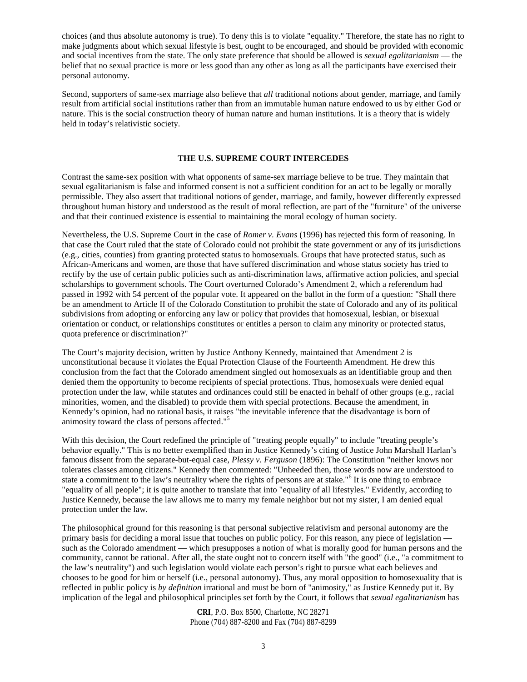choices (and thus absolute autonomy is true). To deny this is to violate "equality." Therefore, the state has no right to make judgments about which sexual lifestyle is best, ought to be encouraged, and should be provided with economic and social incentives from the state. The only state preference that should be allowed is *sexual egalitarianism* — the belief that no sexual practice is more or less good than any other as long as all the participants have exercised their personal autonomy.

Second, supporters of same-sex marriage also believe that *all* traditional notions about gender, marriage, and family result from artificial social institutions rather than from an immutable human nature endowed to us by either God or nature. This is the social construction theory of human nature and human institutions. It is a theory that is widely held in today's relativistic society.

#### **THE U.S. SUPREME COURT INTERCEDES**

Contrast the same-sex position with what opponents of same-sex marriage believe to be true. They maintain that sexual egalitarianism is false and informed consent is not a sufficient condition for an act to be legally or morally permissible. They also assert that traditional notions of gender, marriage, and family, however differently expressed throughout human history and understood as the result of moral reflection, are part of the "furniture" of the universe and that their continued existence is essential to maintaining the moral ecology of human society.

Nevertheless, the U.S. Supreme Court in the case of *Romer v. Evans* (1996) has rejected this form of reasoning. In that case the Court ruled that the state of Colorado could not prohibit the state government or any of its jurisdictions (e.g., cities, counties) from granting protected status to homosexuals. Groups that have protected status, such as African-Americans and women, are those that have suffered discrimination and whose status society has tried to rectify by the use of certain public policies such as anti-discrimination laws, affirmative action policies, and special scholarships to government schools. The Court overturned Colorado's Amendment 2, which a referendum had passed in 1992 with 54 percent of the popular vote. It appeared on the ballot in the form of a question: "Shall there be an amendment to Article II of the Colorado Constitution to prohibit the state of Colorado and any of its political subdivisions from adopting or enforcing any law or policy that provides that homosexual, lesbian, or bisexual orientation or conduct, or relationships constitutes or entitles a person to claim any minority or protected status, quota preference or discrimination?"

The Court's majority decision, written by Justice Anthony Kennedy, maintained that Amendment 2 is unconstitutional because it violates the Equal Protection Clause of the Fourteenth Amendment. He drew this conclusion from the fact that the Colorado amendment singled out homosexuals as an identifiable group and then denied them the opportunity to become recipients of special protections. Thus, homosexuals were denied equal protection under the law, while statutes and ordinances could still be enacted in behalf of other groups (e.g., racial minorities, women, and the disabled) to provide them with special protections. Because the amendment, in Kennedy's opinion, had no rational basis, it raises "the inevitable inference that the disadvantage is born of animosity toward the class of persons affected."<sup>5</sup>

With this decision, the Court redefined the principle of "treating people equally" to include "treating people's behavior equally." This is no better exemplified than in Justice Kennedy's citing of Justice John Marshall Harlan's famous dissent from the separate-but-equal case, *Plessy v. Ferguson* (1896): The Constitution "neither knows nor tolerates classes among citizens." Kennedy then commented: "Unheeded then, those words now are understood to state a commitment to the law's neutrality where the rights of persons are at stake."<sup>6</sup> It is one thing to embrace "equality of all people"; it is quite another to translate that into "equality of all lifestyles." Evidently, according to Justice Kennedy, because the law allows me to marry my female neighbor but not my sister, I am denied equal protection under the law.

The philosophical ground for this reasoning is that personal subjective relativism and personal autonomy are the primary basis for deciding a moral issue that touches on public policy. For this reason, any piece of legislation such as the Colorado amendment — which presupposes a notion of what is morally good for human persons and the community, cannot be rational. After all, the state ought not to concern itself with "the good" (i.e., "a commitment to the law's neutrality") and such legislation would violate each person's right to pursue what each believes and chooses to be good for him or herself (i.e., personal autonomy). Thus, any moral opposition to homosexuality that is reflected in public policy is *by definition* irrational and must be born of "animosity," as Justice Kennedy put it. By implication of the legal and philosophical principles set forth by the Court, it follows that *sexual egalitarianism* has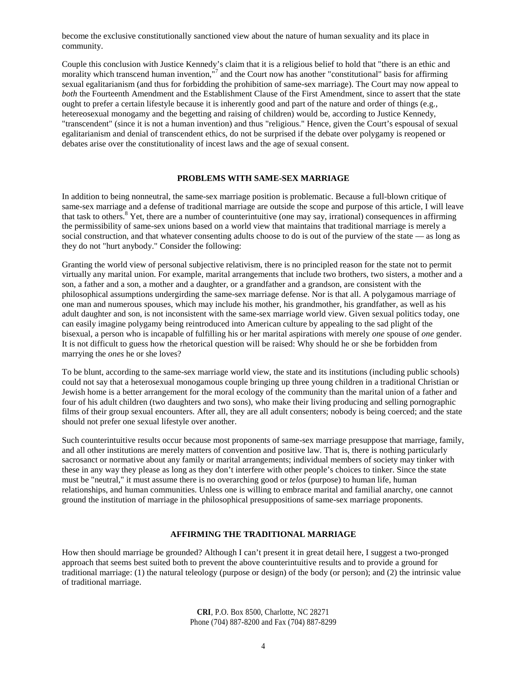become the exclusive constitutionally sanctioned view about the nature of human sexuality and its place in community.

Couple this conclusion with Justice Kennedy's claim that it is a religious belief to hold that "there is an ethic and morality which transcend human invention,"<sup>7</sup> and the Court now has another "constitutional" basis for affirming sexual egalitarianism (and thus for forbidding the prohibition of same-sex marriage). The Court may now appeal to *both* the Fourteenth Amendment and the Establishment Clause of the First Amendment, since to assert that the state ought to prefer a certain lifestyle because it is inherently good and part of the nature and order of things (e.g., hetereosexual monogamy and the begetting and raising of children) would be, according to Justice Kennedy, "transcendent" (since it is not a human invention) and thus "religious." Hence, given the Court's espousal of sexual egalitarianism and denial of transcendent ethics, do not be surprised if the debate over polygamy is reopened or debates arise over the constitutionality of incest laws and the age of sexual consent.

## **PROBLEMS WITH SAME-SEX MARRIAGE**

In addition to being nonneutral, the same-sex marriage position is problematic. Because a full-blown critique of same-sex marriage and a defense of traditional marriage are outside the scope and purpose of this article, I will leave that task to others.<sup>8</sup> Yet, there are a number of counterintuitive (one may say, irrational) consequences in affirming the permissibility of same-sex unions based on a world view that maintains that traditional marriage is merely a social construction, and that whatever consenting adults choose to do is out of the purview of the state — as long as they do not "hurt anybody." Consider the following:

Granting the world view of personal subjective relativism, there is no principled reason for the state not to permit virtually any marital union. For example, marital arrangements that include two brothers, two sisters, a mother and a son, a father and a son, a mother and a daughter, or a grandfather and a grandson, are consistent with the philosophical assumptions undergirding the same-sex marriage defense. Nor is that all. A polygamous marriage of one man and numerous spouses, which may include his mother, his grandmother, his grandfather, as well as his adult daughter and son, is not inconsistent with the same-sex marriage world view. Given sexual politics today, one can easily imagine polygamy being reintroduced into American culture by appealing to the sad plight of the bisexual, a person who is incapable of fulfilling his or her marital aspirations with merely *one* spouse of *one* gender. It is not difficult to guess how the rhetorical question will be raised: Why should he or she be forbidden from marrying the *ones* he or she loves?

To be blunt, according to the same-sex marriage world view, the state and its institutions (including public schools) could not say that a heterosexual monogamous couple bringing up three young children in a traditional Christian or Jewish home is a better arrangement for the moral ecology of the community than the marital union of a father and four of his adult children (two daughters and two sons), who make their living producing and selling pornographic films of their group sexual encounters. After all, they are all adult consenters; nobody is being coerced; and the state should not prefer one sexual lifestyle over another.

Such counterintuitive results occur because most proponents of same-sex marriage presuppose that marriage, family, and all other institutions are merely matters of convention and positive law. That is, there is nothing particularly sacrosanct or normative about any family or marital arrangements; individual members of society may tinker with these in any way they please as long as they don't interfere with other people's choices to tinker. Since the state must be "neutral," it must assume there is no overarching good or *telos* (purpose) to human life, human relationships, and human communities. Unless one is willing to embrace marital and familial anarchy, one cannot ground the institution of marriage in the philosophical presuppositions of same-sex marriage proponents.

#### **AFFIRMING THE TRADITIONAL MARRIAGE**

How then should marriage be grounded? Although I can't present it in great detail here, I suggest a two-pronged approach that seems best suited both to prevent the above counterintuitive results and to provide a ground for traditional marriage: (1) the natural teleology (purpose or design) of the body (or person); and (2) the intrinsic value of traditional marriage.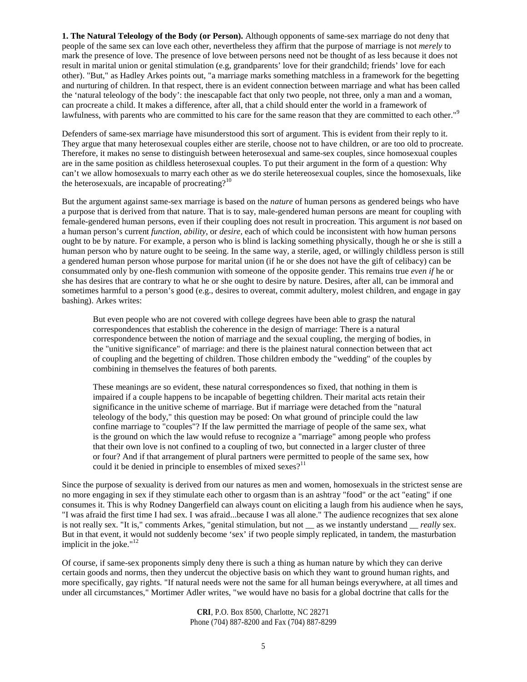**1. The Natural Teleology of the Body (or Person).** Although opponents of same-sex marriage do not deny that people of the same sex can love each other, nevertheless they affirm that the purpose of marriage is not *merely* to mark the presence of love. The presence of love between persons need not be thought of as less because it does not result in marital union or genital stimulation (e.g, grandparents' love for their grandchild; friends' love for each other). "But," as Hadley Arkes points out, "a marriage marks something matchless in a framework for the begetting and nurturing of children. In that respect, there is an evident connection between marriage and what has been called the 'natural teleology of the body': the inescapable fact that only two people, not three, only a man and a woman, can procreate a child. It makes a difference, after all, that a child should enter the world in a framework of lawfulness, with parents who are committed to his care for the same reason that they are committed to each other."<sup>9</sup>

Defenders of same-sex marriage have misunderstood this sort of argument. This is evident from their reply to it. They argue that many heterosexual couples either are sterile, choose not to have children, or are too old to procreate. Therefore, it makes no sense to distinguish between heterosexual and same-sex couples, since homosexual couples are in the same position as childless heterosexual couples. To put their argument in the form of a question: Why can't we allow homosexuals to marry each other as we do sterile hetereosexual couples, since the homosexuals, like the heterosexuals, are incapable of procreating? $10$ 

But the argument against same-sex marriage is based on the *nature* of human persons as gendered beings who have a purpose that is derived from that nature. That is to say, male-gendered human persons are meant for coupling with female-gendered human persons, even if their coupling does not result in procreation. This argument is *not* based on a human person's current *function*, *ability*, or *desire*, each of which could be inconsistent with how human persons ought to be by nature. For example, a person who is blind is lacking something physically, though he or she is still a human person who by nature ought to be seeing. In the same way, a sterile, aged, or willingly childless person is still a gendered human person whose purpose for marital union (if he or she does not have the gift of celibacy) can be consummated only by one-flesh communion with someone of the opposite gender. This remains true *even if* he or she has desires that are contrary to what he or she ought to desire by nature. Desires, after all, can be immoral and sometimes harmful to a person's good (e.g., desires to overeat, commit adultery, molest children, and engage in gay bashing). Arkes writes:

But even people who are not covered with college degrees have been able to grasp the natural correspondences that establish the coherence in the design of marriage: There is a natural correspondence between the notion of marriage and the sexual coupling, the merging of bodies, in the "unitive significance" of marriage: and there is the plainest natural connection between that act of coupling and the begetting of children. Those children embody the "wedding" of the couples by combining in themselves the features of both parents.

These meanings are so evident, these natural correspondences so fixed, that nothing in them is impaired if a couple happens to be incapable of begetting children. Their marital acts retain their significance in the unitive scheme of marriage. But if marriage were detached from the "natural teleology of the body," this question may be posed: On what ground of principle could the law confine marriage to "couples"? If the law permitted the marriage of people of the same sex, what is the ground on which the law would refuse to recognize a "marriage" among people who profess that their own love is not confined to a coupling of two, but connected in a larger cluster of three or four? And if that arrangement of plural partners were permitted to people of the same sex, how could it be denied in principle to ensembles of mixed sexes? $11$ 

Since the purpose of sexuality is derived from our natures as men and women, homosexuals in the strictest sense are no more engaging in sex if they stimulate each other to orgasm than is an ashtray "food" or the act "eating" if one consumes it. This is why Rodney Dangerfield can always count on eliciting a laugh from his audience when he says, "I was afraid the first time I had sex. I was afraid...because I was all alone." The audience recognizes that sex alone is not really sex. "It is," comments Arkes, "genital stimulation, but not \_\_ as we instantly understand \_\_ *really* sex. But in that event, it would not suddenly become 'sex' if two people simply replicated, in tandem, the masturbation implicit in the joke."<sup>12</sup>

Of course, if same-sex proponents simply deny there is such a thing as human nature by which they can derive certain goods and norms, then they undercut the objective basis on which they want to ground human rights, and more specifically, gay rights. "If natural needs were not the same for all human beings everywhere, at all times and under all circumstances," Mortimer Adler writes, "we would have no basis for a global doctrine that calls for the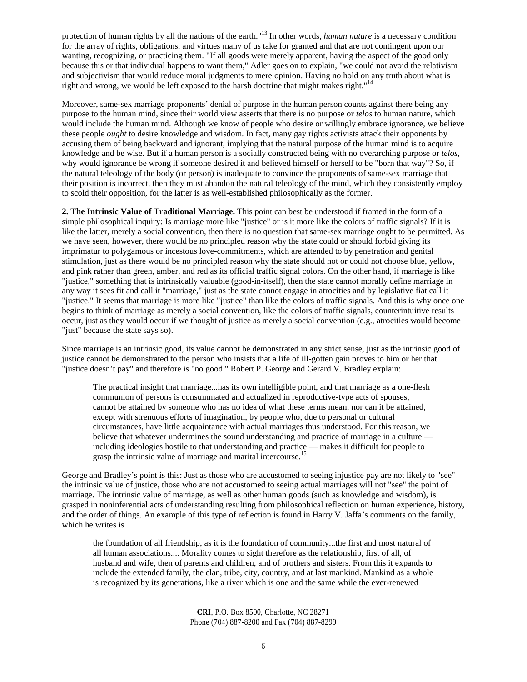protection of human rights by all the nations of the earth."<sup>13</sup> In other words, *human nature* is a necessary condition for the array of rights, obligations, and virtues many of us take for granted and that are not contingent upon our wanting, recognizing, or practicing them. "If all goods were merely apparent, having the aspect of the good only because this or that individual happens to want them," Adler goes on to explain, "we could not avoid the relativism and subjectivism that would reduce moral judgments to mere opinion. Having no hold on any truth about what is right and wrong, we would be left exposed to the harsh doctrine that might makes right."<sup>14</sup>

Moreover, same-sex marriage proponents' denial of purpose in the human person counts against there being any purpose to the human mind, since their world view asserts that there is no purpose or *telos* to human nature, which would include the human mind. Although we know of people who desire or willingly embrace ignorance, we believe these people *ought* to desire knowledge and wisdom. In fact, many gay rights activists attack their opponents by accusing them of being backward and ignorant, implying that the natural purpose of the human mind is to acquire knowledge and be wise. But if a human person is a socially constructed being with no overarching purpose or *telos*, why would ignorance be wrong if someone desired it and believed himself or herself to be "born that way"? So, if the natural teleology of the body (or person) is inadequate to convince the proponents of same-sex marriage that their position is incorrect, then they must abandon the natural teleology of the mind, which they consistently employ to scold their opposition, for the latter is as well-established philosophically as the former.

**2. The Intrinsic Value of Traditional Marriage.** This point can best be understood if framed in the form of a simple philosophical inquiry: Is marriage more like "justice" or is it more like the colors of traffic signals? If it is like the latter, merely a social convention, then there is no question that same-sex marriage ought to be permitted. As we have seen, however, there would be no principled reason why the state could or should forbid giving its imprimatur to polygamous or incestous love-commitments, which are attended to by penetration and genital stimulation, just as there would be no principled reason why the state should not or could not choose blue, yellow, and pink rather than green, amber, and red as its official traffic signal colors. On the other hand, if marriage is like "justice," something that is intrinsically valuable (good-in-itself), then the state cannot morally define marriage in any way it sees fit and call it "marriage," just as the state cannot engage in atrocities and by legislative fiat call it "justice." It seems that marriage is more like "justice" than like the colors of traffic signals. And this is why once one begins to think of marriage as merely a social convention, like the colors of traffic signals, counterintuitive results occur, just as they would occur if we thought of justice as merely a social convention (e.g., atrocities would become "just" because the state says so).

Since marriage is an intrinsic good, its value cannot be demonstrated in any strict sense, just as the intrinsic good of justice cannot be demonstrated to the person who insists that a life of ill-gotten gain proves to him or her that "justice doesn't pay" and therefore is "no good." Robert P. George and Gerard V. Bradley explain:

The practical insight that marriage...has its own intelligible point, and that marriage as a one-flesh communion of persons is consummated and actualized in reproductive-type acts of spouses, cannot be attained by someone who has no idea of what these terms mean; nor can it be attained, except with strenuous efforts of imagination, by people who, due to personal or cultural circumstances, have little acquaintance with actual marriages thus understood. For this reason, we believe that whatever undermines the sound understanding and practice of marriage in a culture including ideologies hostile to that understanding and practice — makes it difficult for people to grasp the intrinsic value of marriage and marital intercourse.<sup>15</sup>

George and Bradley's point is this: Just as those who are accustomed to seeing injustice pay are not likely to "see" the intrinsic value of justice, those who are not accustomed to seeing actual marriages will not "see" the point of marriage. The intrinsic value of marriage, as well as other human goods (such as knowledge and wisdom), is grasped in noninferential acts of understanding resulting from philosophical reflection on human experience, history, and the order of things. An example of this type of reflection is found in Harry V. Jaffa's comments on the family, which he writes is

the foundation of all friendship, as it is the foundation of community...the first and most natural of all human associations.... Morality comes to sight therefore as the relationship, first of all, of husband and wife, then of parents and children, and of brothers and sisters. From this it expands to include the extended family, the clan, tribe, city, country, and at last mankind. Mankind as a whole is recognized by its generations, like a river which is one and the same while the ever-renewed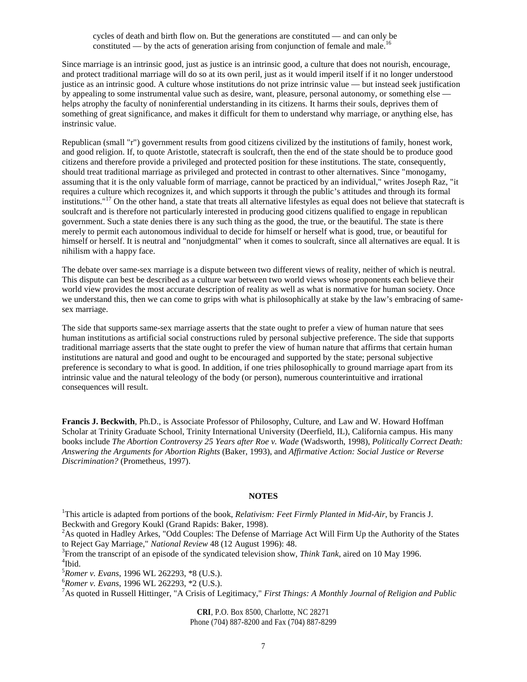cycles of death and birth flow on. But the generations are constituted — and can only be  $\alpha$  constituted — by the acts of generation arising from conjunction of female and male.

Since marriage is an intrinsic good, just as justice is an intrinsic good, a culture that does not nourish, encourage, and protect traditional marriage will do so at its own peril, just as it would imperil itself if it no longer understood justice as an intrinsic good. A culture whose institutions do not prize intrinsic value — but instead seek justification by appealing to some instrumental value such as desire, want, pleasure, personal autonomy, or something else helps atrophy the faculty of noninferential understanding in its citizens. It harms their souls, deprives them of something of great significance, and makes it difficult for them to understand why marriage, or anything else, has instrinsic value.

Republican (small "r") government results from good citizens civilized by the institutions of family, honest work, and good religion. If, to quote Aristotle, statecraft is soulcraft, then the end of the state should be to produce good citizens and therefore provide a privileged and protected position for these institutions. The state, consequently, should treat traditional marriage as privileged and protected in contrast to other alternatives. Since "monogamy, assuming that it is the only valuable form of marriage, cannot be practiced by an individual," writes Joseph Raz, "it requires a culture which recognizes it, and which supports it through the public's attitudes and through its formal institutions."<sup>17</sup> On the other hand, a state that treats all alternative lifestyles as equal does not believe that statecraft is soulcraft and is therefore not particularly interested in producing good citizens qualified to engage in republican government. Such a state denies there is any such thing as the good, the true, or the beautiful. The state is there merely to permit each autonomous individual to decide for himself or herself what is good, true, or beautiful for himself or herself. It is neutral and "nonjudgmental" when it comes to soulcraft, since all alternatives are equal. It is nihilism with a happy face.

The debate over same-sex marriage is a dispute between two different views of reality, neither of which is neutral. This dispute can best be described as a culture war between two world views whose proponents each believe their world view provides the most accurate description of reality as well as what is normative for human society. Once we understand this, then we can come to grips with what is philosophically at stake by the law's embracing of samesex marriage.

The side that supports same-sex marriage asserts that the state ought to prefer a view of human nature that sees human institutions as artificial social constructions ruled by personal subjective preference. The side that supports traditional marriage asserts that the state ought to prefer the view of human nature that affirms that certain human institutions are natural and good and ought to be encouraged and supported by the state; personal subjective preference is secondary to what is good. In addition, if one tries philosophically to ground marriage apart from its intrinsic value and the natural teleology of the body (or person), numerous counterintuitive and irrational consequences will result.

**Francis J. Beckwith**, Ph.D., is Associate Professor of Philosophy, Culture, and Law and W. Howard Hoffman Scholar at Trinity Graduate School, Trinity International University (Deerfield, IL), California campus. His many books include *The Abortion Controversy 25 Years after Roe v. Wade* (Wadsworth, 1998), *Politically Correct Death: Answering the Arguments for Abortion Rights* (Baker, 1993), and *Affirmative Action: Social Justice or Reverse Discrimination?* (Prometheus, 1997).

#### **NOTES**

<sup>1</sup>This article is adapted from portions of the book, *Relativism: Feet Firmly Planted in Mid-Air*, by Francis J. Beckwith and Gregory Koukl (Grand Rapids: Baker, 1998).

<sup>2</sup>As quoted in Hadley Arkes, "Odd Couples: The Defense of Marriage Act Will Firm Up the Authority of the States to Reject Gay Marriage," *National Review* 48 (12 August 1996): 48.

3 From the transcript of an episode of the syndicated television show, *Think Tank*, aired on 10 May 1996. 4 Ibid.

<sup>5</sup>*Romer v. Evans*, 1996 WL 262293, \*8 (U.S.).

<sup>6</sup>*Romer v. Evans*, 1996 WL 262293, \*2 (U.S.).

<sup>7</sup>As quoted in Russell Hittinger, "A Crisis of Legitimacy," *First Things: A Monthly Journal of Religion and Public*